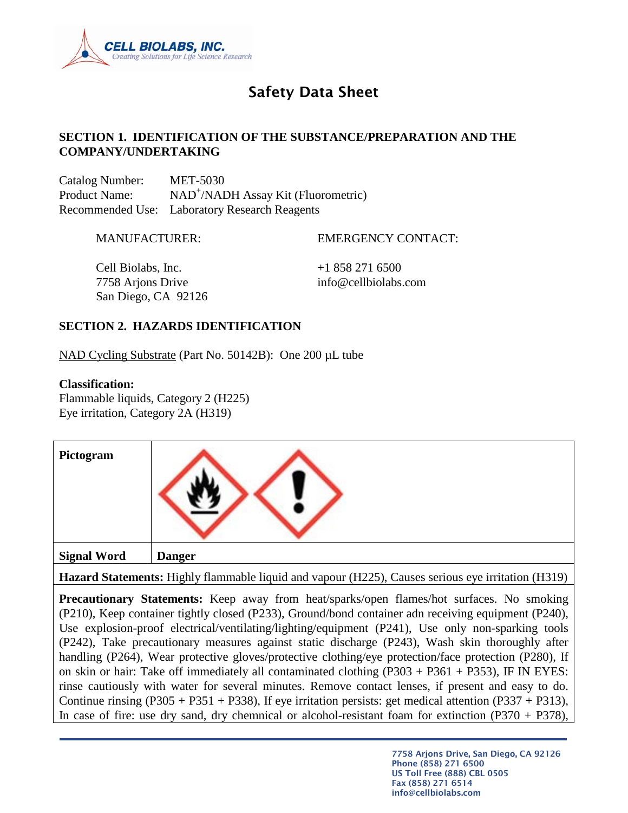

# Safety Data Sheet

#### **SECTION 1. IDENTIFICATION OF THE SUBSTANCE/PREPARATION AND THE COMPANY/UNDERTAKING**

Catalog Number: MET-5030 Product Name: NAD<sup>+</sup>/NADH Assay Kit (Fluorometric) Recommended Use: Laboratory Research Reagents

MANUFACTURER: EMERGENCY CONTACT:

Cell Biolabs, Inc.  $+18582716500$ 7758 Arjons Drive info@cellbiolabs.com San Diego, CA 92126

#### **SECTION 2. HAZARDS IDENTIFICATION**

NAD Cycling Substrate (Part No. 50142B): One 200 µL tube

#### **Classification:**

Flammable liquids, Category 2 (H225) Eye irritation, Category 2A (H319)

| Pictogram          |               |
|--------------------|---------------|
| <b>Signal Word</b> | <b>Danger</b> |

**Hazard Statements:** Highly flammable liquid and vapour (H225), Causes serious eye irritation (H319)

**Precautionary Statements:** Keep away from heat/sparks/open flames/hot surfaces. No smoking (P210), Keep container tightly closed (P233), Ground/bond container adn receiving equipment (P240), Use explosion-proof electrical/ventilating/lighting/equipment (P241), Use only non-sparking tools (P242), Take precautionary measures against static discharge (P243), Wash skin thoroughly after handling (P264), Wear protective gloves/protective clothing/eye protection/face protection (P280), If on skin or hair: Take off immediately all contaminated clothing  $(P303 + P361 + P353)$ , IF IN EYES: rinse cautiously with water for several minutes. Remove contact lenses, if present and easy to do. Continue rinsing  $(P305 + P351 + P338)$ , If eye irritation persists: get medical attention  $(P337 + P313)$ , In case of fire: use dry sand, dry chemnical or alcohol-resistant foam for extinction  $(P370 + P378)$ ,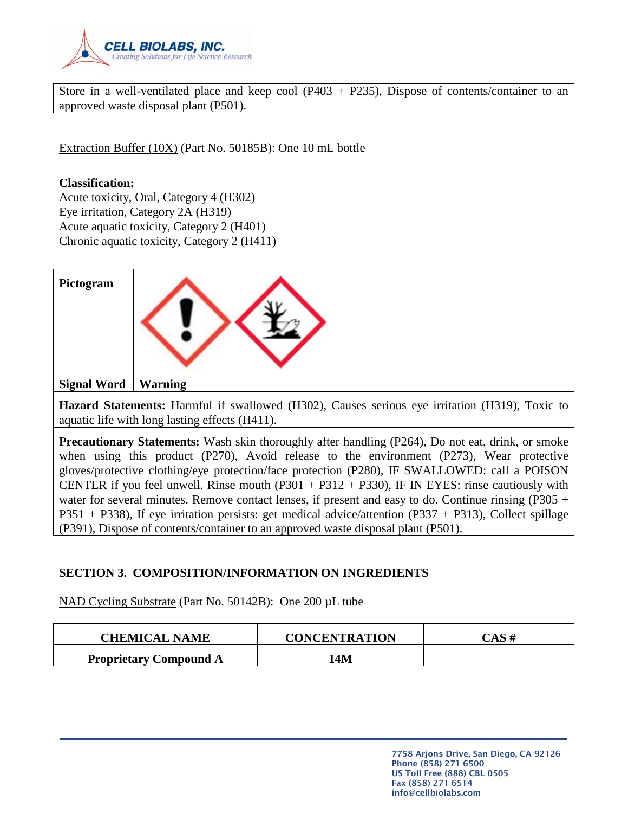

Store in a well-ventilated place and keep cool (P403 + P235), Dispose of contents/container to an approved waste disposal plant (P501).

Extraction Buffer (10X) (Part No. 50185B): One 10 mL bottle

#### **Classification:**

Acute toxicity, Oral, Category 4 (H302) Eye irritation, Category 2A (H319) Acute aquatic toxicity, Category 2 (H401) Chronic aquatic toxicity, Category 2 (H411)

| Pictogram                                                                                                                                        |                |  |  |  |
|--------------------------------------------------------------------------------------------------------------------------------------------------|----------------|--|--|--|
| <b>Signal Word</b>                                                                                                                               | <b>Warning</b> |  |  |  |
| Hazard Statements: Harmful if swallowed (H302), Causes serious eye irritation (H319), Toxic to<br>aquatic life with long lasting effects (H411). |                |  |  |  |
|                                                                                                                                                  |                |  |  |  |

**Precautionary Statements:** Wash skin thoroughly after handling (P264), Do not eat, drink, or smoke when using this product (P270), Avoid release to the environment (P273), Wear protective gloves/protective clothing/eye protection/face protection (P280), IF SWALLOWED: call a POISON CENTER if you feel unwell. Rinse mouth  $(P301 + P312 + P330)$ , IF IN EYES: rinse cautiously with water for several minutes. Remove contact lenses, if present and easy to do. Continue rinsing (P305 + P351 + P338), If eye irritation persists: get medical advice/attention (P337 + P313), Collect spillage (P391), Dispose of contents/container to an approved waste disposal plant (P501).

# **SECTION 3. COMPOSITION/INFORMATION ON INGREDIENTS**

NAD Cycling Substrate (Part No. 50142B): One 200 µL tube

| <b>CHEMICAL NAME</b>          | <b>CONCENTRATION</b> | CAS# |
|-------------------------------|----------------------|------|
| <b>Proprietary Compound A</b> | 14M                  |      |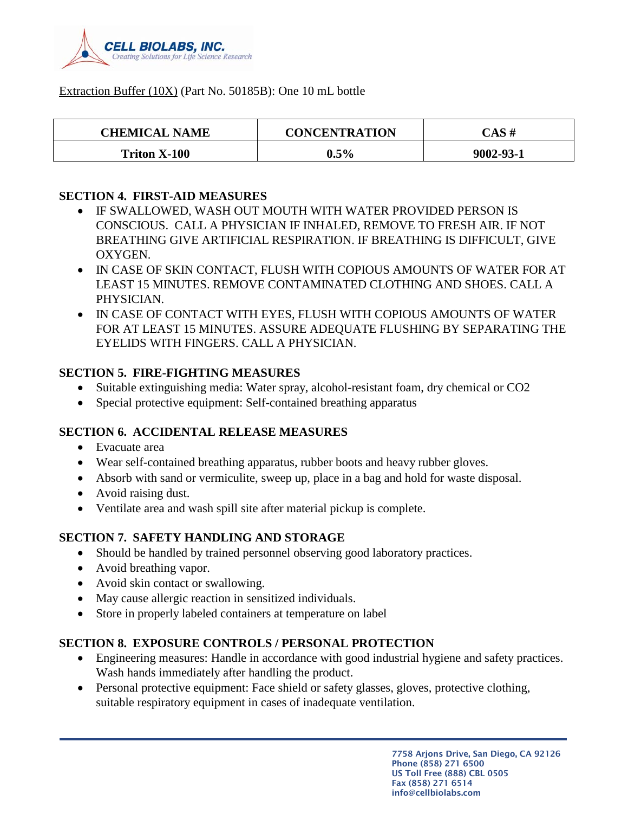

#### Extraction Buffer (10X) (Part No. 50185B): One 10 mL bottle

| <b>CHEMICAL NAME</b> | <b>CONCENTRATION</b> | CAS #     |
|----------------------|----------------------|-----------|
| <b>Triton X-100</b>  | $0.5\%$              | 9002-93-1 |

#### **SECTION 4. FIRST-AID MEASURES**

- IF SWALLOWED, WASH OUT MOUTH WITH WATER PROVIDED PERSON IS CONSCIOUS. CALL A PHYSICIAN IF INHALED, REMOVE TO FRESH AIR. IF NOT BREATHING GIVE ARTIFICIAL RESPIRATION. IF BREATHING IS DIFFICULT, GIVE OXYGEN.
- IN CASE OF SKIN CONTACT, FLUSH WITH COPIOUS AMOUNTS OF WATER FOR AT LEAST 15 MINUTES. REMOVE CONTAMINATED CLOTHING AND SHOES. CALL A PHYSICIAN.
- IN CASE OF CONTACT WITH EYES, FLUSH WITH COPIOUS AMOUNTS OF WATER FOR AT LEAST 15 MINUTES. ASSURE ADEQUATE FLUSHING BY SEPARATING THE EYELIDS WITH FINGERS. CALL A PHYSICIAN.

#### **SECTION 5. FIRE-FIGHTING MEASURES**

- Suitable extinguishing media: Water spray, alcohol-resistant foam, dry chemical or CO2
- Special protective equipment: Self-contained breathing apparatus

#### **SECTION 6. ACCIDENTAL RELEASE MEASURES**

- Evacuate area
- Wear self-contained breathing apparatus, rubber boots and heavy rubber gloves.
- Absorb with sand or vermiculite, sweep up, place in a bag and hold for waste disposal.
- Avoid raising dust.
- Ventilate area and wash spill site after material pickup is complete.

# **SECTION 7. SAFETY HANDLING AND STORAGE**

- Should be handled by trained personnel observing good laboratory practices.
- Avoid breathing vapor.
- Avoid skin contact or swallowing.
- May cause allergic reaction in sensitized individuals.
- Store in properly labeled containers at temperature on label

# **SECTION 8. EXPOSURE CONTROLS / PERSONAL PROTECTION**

- Engineering measures: Handle in accordance with good industrial hygiene and safety practices. Wash hands immediately after handling the product.
- Personal protective equipment: Face shield or safety glasses, gloves, protective clothing, suitable respiratory equipment in cases of inadequate ventilation.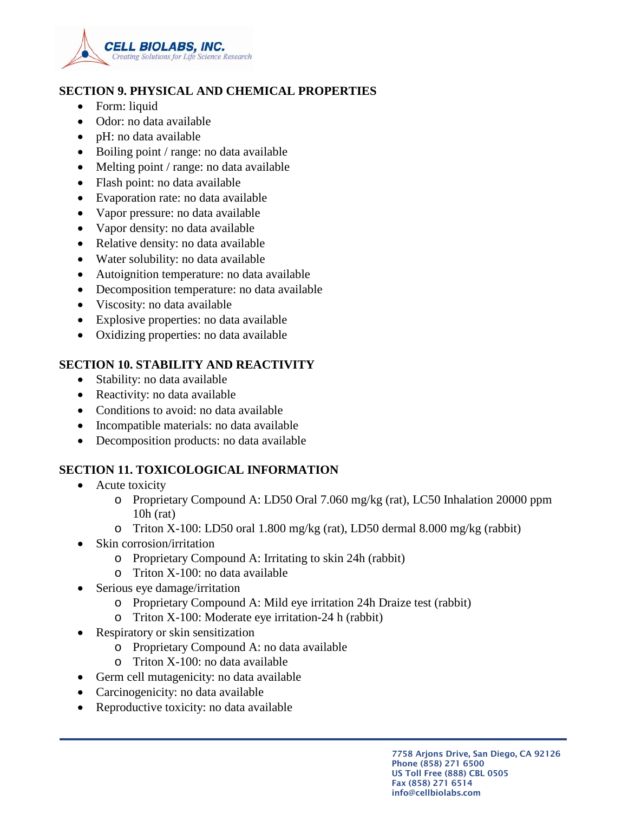

#### **SECTION 9. PHYSICAL AND CHEMICAL PROPERTIES**

- Form: liquid
- Odor: no data available
- pH: no data available
- Boiling point / range: no data available
- Melting point / range: no data available
- Flash point: no data available
- Evaporation rate: no data available
- Vapor pressure: no data available
- Vapor density: no data available
- Relative density: no data available
- Water solubility: no data available
- Autoignition temperature: no data available
- Decomposition temperature: no data available
- Viscosity: no data available
- Explosive properties: no data available
- Oxidizing properties: no data available

# **SECTION 10. STABILITY AND REACTIVITY**

- Stability: no data available
- Reactivity: no data available
- Conditions to avoid: no data available
- Incompatible materials: no data available
- Decomposition products: no data available

# **SECTION 11. TOXICOLOGICAL INFORMATION**

- Acute toxicity
	- o Proprietary Compound A: LD50 Oral 7.060 mg/kg (rat), LC50 Inhalation 20000 ppm 10h (rat)
	- o Triton X-100: LD50 oral 1.800 mg/kg (rat), LD50 dermal 8.000 mg/kg (rabbit)
- Skin corrosion/irritation
	- o Proprietary Compound A: Irritating to skin 24h (rabbit)
	- o Triton X-100: no data available
- Serious eye damage/irritation
	- o Proprietary Compound A: Mild eye irritation 24h Draize test (rabbit)
	- o Triton X-100: Moderate eye irritation-24 h (rabbit)
- Respiratory or skin sensitization
	- o Proprietary Compound A: no data available
	- o Triton X-100: no data available
- Germ cell mutagenicity: no data available
- Carcinogenicity: no data available
- Reproductive toxicity: no data available